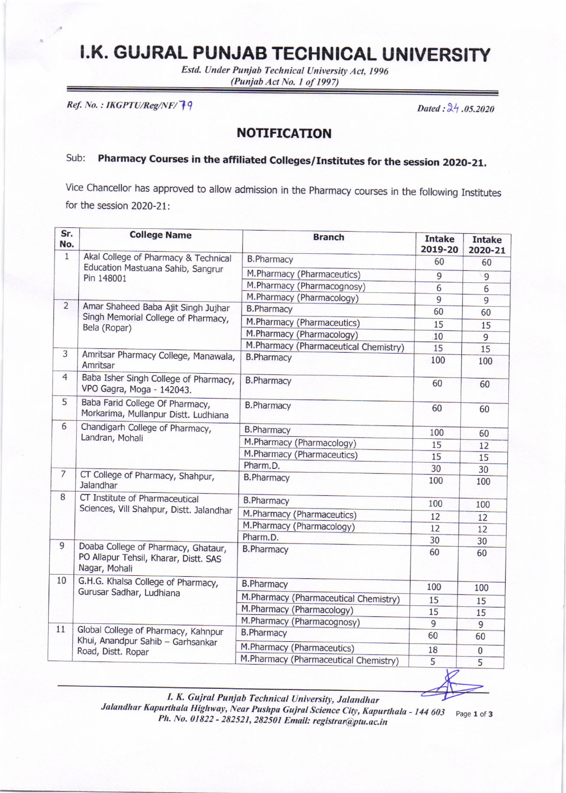## I.K. GUJRAL PUNJAB TECHNICAL UNIVERSITY

 $(Punjab Act No. 1 of 1997)$ Estd. Under Punjab Technical University Act, 1996

Ref. No. : IKGPTU/Reg/NF/ $\overline{7}$ 9 Dated :  $\lambda$ <sup>1</sup> .05.2020

## NOTIFICATION

## Sub: Pharmacy Courses in the affiliated Colleges/Institutes for the session 2020-21.

Vice Chancellor has approved to allow admission in the Pharmacy courses in the followirig Institutes for the session 2020-21:

| Sr.<br>No.     | <b>College Name</b>                                                                            | <b>Branch</b>                         | <b>Intake</b><br>2019-20 | <b>Intake</b><br>2020-21 |
|----------------|------------------------------------------------------------------------------------------------|---------------------------------------|--------------------------|--------------------------|
| $\mathbf{1}$   | Akal College of Pharmacy & Technical<br>Education Mastuana Sahib, Sangrur<br>Pin 148001        | <b>B.Pharmacy</b>                     | 60                       | 60                       |
|                |                                                                                                | M.Pharmacy (Pharmaceutics)            | 9                        | $\overline{9}$           |
|                |                                                                                                | M.Pharmacy (Pharmacognosy)            | 6                        | 6                        |
|                |                                                                                                | M.Pharmacy (Pharmacology)             | $\overline{9}$           | $\overline{9}$           |
| $\overline{2}$ | Amar Shaheed Baba Ajit Singh Jujhar<br>Singh Memorial College of Pharmacy,<br>Bela (Ropar)     | <b>B.Pharmacy</b>                     | 60                       | 60                       |
|                |                                                                                                | M.Pharmacy (Pharmaceutics)            | 15                       | 15                       |
|                |                                                                                                | M.Pharmacy (Pharmacology)             | 10                       | 9                        |
|                |                                                                                                | M.Pharmacy (Pharmaceutical Chemistry) | 15                       | 15                       |
| $\overline{3}$ | Amritsar Pharmacy College, Manawala,<br>Amritsar                                               | <b>B.Pharmacy</b>                     | 100                      | 100                      |
| 4              | Baba Isher Singh College of Pharmacy,<br>VPO Gagra, Moga - 142043.                             | <b>B.Pharmacy</b>                     | 60                       | 60                       |
| 5              | Baba Farid College Of Pharmacy,<br>Morkarima, Mullanpur Distt. Ludhiana                        | <b>B.Pharmacy</b>                     | 60                       | 60                       |
| 6              | Chandigarh College of Pharmacy,<br>Landran, Mohali                                             | <b>B.Pharmacy</b>                     | 100                      | 60                       |
|                |                                                                                                | M.Pharmacy (Pharmacology)             | 15                       | 12                       |
|                |                                                                                                | M.Pharmacy (Pharmaceutics)            | 15                       | 15                       |
|                |                                                                                                | Pharm.D.                              | 30                       | 30                       |
| $\overline{7}$ | CT College of Pharmacy, Shahpur,<br>Jalandhar                                                  | <b>B.Pharmacy</b>                     | 100                      | 100                      |
| 8              | CT Institute of Pharmaceutical<br>Sciences, Vill Shahpur, Distt. Jalandhar                     | <b>B.Pharmacy</b>                     | 100                      | 100                      |
|                |                                                                                                | M.Pharmacy (Pharmaceutics)            | 12                       | 12                       |
|                |                                                                                                | M.Pharmacy (Pharmacology)             | 12                       | 12                       |
|                |                                                                                                | Pharm.D.                              | 30                       | 30                       |
| 9              | Doaba College of Pharmacy, Ghataur,<br>PO Allapur Tehsil, Kharar, Distt. SAS<br>Nagar, Mohali  | <b>B.Pharmacy</b>                     | 60                       | 60                       |
| 10             | G.H.G. Khalsa College of Pharmacy,<br>Gurusar Sadhar, Ludhiana                                 | <b>B.Pharmacy</b>                     | 100                      | 100                      |
|                |                                                                                                | M.Pharmacy (Pharmaceutical Chemistry) | 15                       | 15                       |
|                |                                                                                                | M.Pharmacy (Pharmacology)             | 15                       | 15                       |
|                |                                                                                                | M.Pharmacy (Pharmacognosy)            | $\overline{9}$           | $\overline{9}$           |
| 11             | Global College of Pharmacy, Kahnpur<br>Khui, Anandpur Sahib - Garhsankar<br>Road, Distt. Ropar | <b>B.Pharmacy</b>                     | 60                       | 60                       |
|                |                                                                                                | M.Pharmacy (Pharmaceutics)            | 18                       | $\bf{0}$                 |
|                |                                                                                                | M.Pharmacy (Pharmaceutical Chemistry) | 5                        | 5                        |

I. K. Gujral Punjab Technical University, Jalandhar

Jalandhar Kapurthala Highway, Near Pushpa Gujral Science City, Kapurthala - 144 603 Page 1 of 3 Ph. No. 01822 - 282521, 282501 Email: registrar@ptu.ac.in